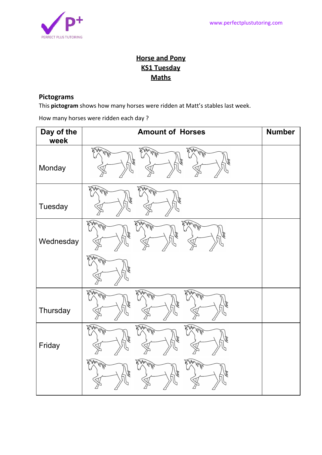

## **Horse and Pony KS1 Tuesday Maths**

## **Pictograms**

This **pictogram** shows how many horses were ridden at Matt's stables last week.

How many horses were ridden each day ?

| Day of the<br>week | <b>Amount of Horses</b>         | <b>Number</b> |
|--------------------|---------------------------------|---------------|
| Monday             | AMA WWW.<br>Alm MM 2<br>My My   |               |
| Tuesday            | MANANCE<br>AMA MAR              |               |
| Wednesday          | MAN WATER<br>AMA WWW<br>MWWW.3  |               |
|                    | AMM MM                          |               |
| Thursday           | AMA WAR<br>AMA MARS<br>AMA WANT |               |
| Friday             | AMM WWW<br>AMA MAN<br>AMM MWA   |               |
|                    | MWAMM<br>WWW.<br><b>MAN MWA</b> |               |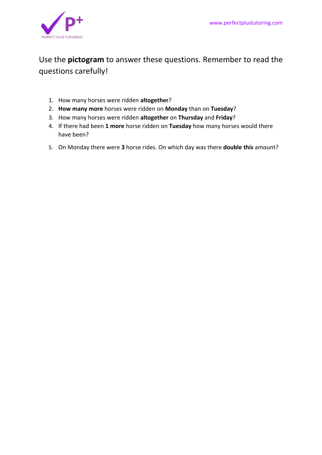

## Use the **pictogram** to answer these questions. Remember to read the questions carefully!

- 1. How many horses were ridden **altogether**?
- 2. **How many more** horses were ridden on **Monday** than on **Tuesday**?
- 3. How many horses were ridden **altogether** on **Thursday** and **Friday**?
- 4. If there had been **1 more** horse ridden on **Tuesday** how many horses would there have been?
- 5. On Monday there were **3** horse rides. On which day was there **double this** amount?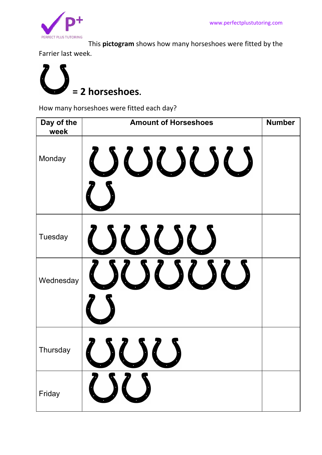

This **pictogram** shows how many horseshoes were fitted by the

Farrier last week.



How many horseshoes were fitted each day?

| Day of the<br>week | <b>Amount of Horseshoes</b> | <b>Number</b> |
|--------------------|-----------------------------|---------------|
| Monday             | <b>SUUU</b>                 |               |
| Tuesday            | JOOC                        |               |
| Wednesday          | $\{56,56\}$                 |               |
| Thursday           |                             |               |
| Friday             |                             |               |